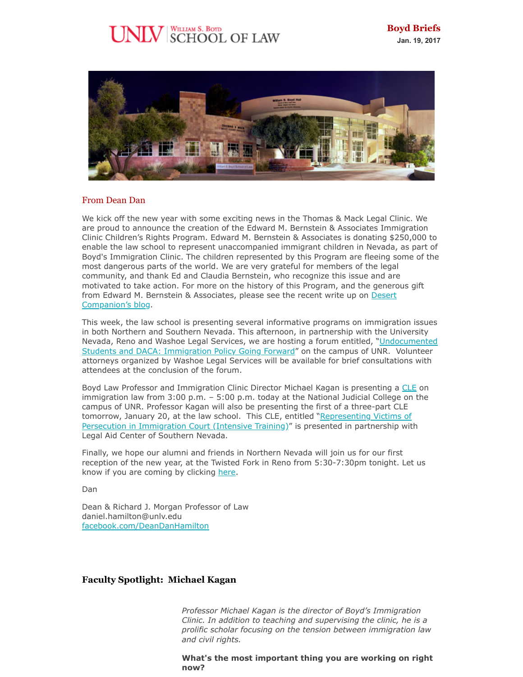# 



#### From Dean Dan

We kick off the new year with some exciting news in the Thomas & Mack Legal Clinic. We are proud to announce the creation of the Edward M. Bernstein & Associates Immigration Clinic Children's Rights Program. Edward M. Bernstein & Associates is donating \$250,000 to enable the law school to represent unaccompanied immigrant children in Nevada, as part of Boyd's Immigration Clinic. The children represented by this Program are fleeing some of the most dangerous parts of the world. We are very grateful for members of the legal community, and thank Ed and Claudia Bernstein, who recognize this issue and are motivated to take action. For more on the history of this Program, and the generous gift [from Edward M. Bernstein & Associates, please see the recent write up on Desert](https://knpr.org/dc-blog/give-time-and-money-these-children) Companion's blog.

This week, the law school is presenting several informative programs on immigration issues in both Northern and Southern Nevada. This afternoon, in partnership with the University [Nevada, Reno and Washoe Legal Services, we are hosting a forum entitled, "Undocumented](http://www.unr.edu/diversity/training/daca-panel-event) Students and DACA: Immigration Policy Going Forward" on the campus of UNR. Volunteer attorneys organized by Washoe Legal Services will be available for brief consultations with attendees at the conclusion of the forum.

Boyd Law Professor and Immigration Clinic Director Michael Kagan is presenting a [CLE](https://www.eventbrite.com/e/cle-immigration-law-questions-for-the-trump-administration-tickets-30404733376) on immigration law from 3:00 p.m. – 5:00 p.m. today at the National Judicial College on the campus of UNR. Professor Kagan will also be presenting the first of a three-part CLE tomorrow, January 20, at the law school. This CLE, entitled "Representing Victims of [Persecution in Immigration Court \(Intensive Training\)" is presented in partnership wit](http://www.lacsnprobono.org/resources-and-training/cle-legal-education/)h Legal Aid Center of Southern Nevada.

Finally, we hope our alumni and friends in Northern Nevada will join us for our first reception of the new year, at the Twisted Fork in Reno from 5:30-7:30pm tonight. Let us know if you are coming by clicking [here.](https://netcommunity.unlv.edu/LawNewYearsNorthernNevada)

Dan

Dean & Richard J. Morgan Professor of Law daniel.hamilton@unlv.edu [facebook.com/DeanDanHamilton](https://www.facebook.com/DeanDanHamilton)

# **Faculty Spotlight: Michael Kagan**

*Professor Michael Kagan is the director of Boyd's Immigration Clinic. In addition to teaching and supervising the clinic, he is a prolific scholar focusing on the tension between immigration law and civil rights.* 

**What's the most important thing you are working on right now?**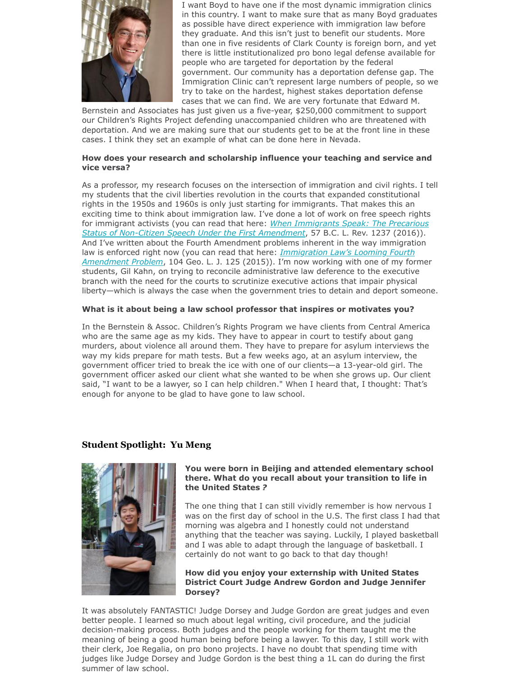

I want Boyd to have one if the most dynamic immigration clinics in this country. I want to make sure that as many Boyd graduates as possible have direct experience with immigration law before they graduate. And this isn't just to benefit our students. More than one in five residents of Clark County is foreign born, and yet there is little institutionalized pro bono legal defense available for people who are targeted for deportation by the federal government. Our community has a deportation defense gap. The Immigration Clinic can't represent large numbers of people, so we try to take on the hardest, highest stakes deportation defense cases that we can find. We are very fortunate that Edward M.

Bernstein and Associates has just given us a five-year, \$250,000 commitment to support our Children's Rights Project defending unaccompanied children who are threatened with deportation. And we are making sure that our students get to be at the front line in these cases. I think they set an example of what can be done here in Nevada.

#### **How does your research and scholarship influence your teaching and service and vice versa?**

As a professor, my research focuses on the intersection of immigration and civil rights. I tell my students that the civil liberties revolution in the courts that expanded constitutional rights in the 1950s and 1960s is only just starting for immigrants. That makes this an exciting time to think about immigration law. I've done a lot of work on free speech rights for immigrant activists (you can read that here: *When Immigrants Speak: The Precarious [Status of Non-Citizen Speech Under the First Amendment](http://scholars.law.unlv.edu/facpub/996/)*, 57 B.C. L. Rev. 1237 (2016)). And I've written about the Fourth Amendment problems inherent in the way immigration law is enforced right now (you can read that here: *Immigration Law's Looming Fourth Amendment Problem*[, 104 Geo. L. J. 125 \(2015\)\). I'm now working with one of my for](http://scholars.law.unlv.edu/facpub/913/)mer students, Gil Kahn, on trying to reconcile administrative law deference to the executive branch with the need for the courts to scrutinize executive actions that impair physical liberty—which is always the case when the government tries to detain and deport someone.

### **What is it about being a law school professor that inspires or motivates you?**

In the Bernstein & Assoc. Children's Rights Program we have clients from Central America who are the same age as my kids. They have to appear in court to testify about gang murders, about violence all around them. They have to prepare for asylum interviews the way my kids prepare for math tests. But a few weeks ago, at an asylum interview, the government officer tried to break the ice with one of our clients—a 13-year-old girl. The government officer asked our client what she wanted to be when she grows up. Our client said, "I want to be a lawyer, so I can help children." When I heard that, I thought: That's enough for anyone to be glad to have gone to law school.

# **Student Spotlight: Yu Meng**



#### **You were born in Beijing and attended elementary school there. What do you recall about your transition to life in the United States** *?*

The one thing that I can still vividly remember is how nervous I was on the first day of school in the U.S. The first class I had that morning was algebra and I honestly could not understand anything that the teacher was saying. Luckily, I played basketball and I was able to adapt through the language of basketball. I certainly do not want to go back to that day though!

**How did you enjoy your externship with United States District Court Judge Andrew Gordon and Judge Jennifer Dorsey?**

It was absolutely FANTASTIC! Judge Dorsey and Judge Gordon are great judges and even better people. I learned so much about legal writing, civil procedure, and the judicial decision-making process. Both judges and the people working for them taught me the meaning of being a good human being before being a lawyer. To this day, I still work with their clerk, Joe Regalia, on pro bono projects. I have no doubt that spending time with judges like Judge Dorsey and Judge Gordon is the best thing a 1L can do during the first summer of law school.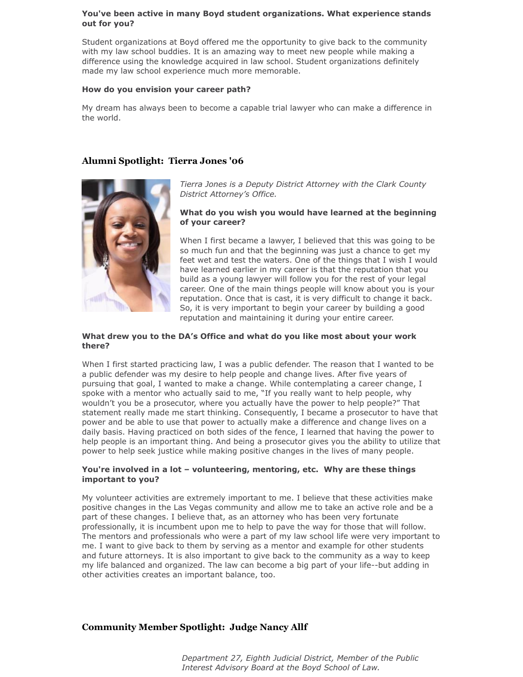#### **You've been active in many Boyd student organizations. What experience stands out for you?**

Student organizations at Boyd offered me the opportunity to give back to the community with my law school buddies. It is an amazing way to meet new people while making a difference using the knowledge acquired in law school. Student organizations definitely made my law school experience much more memorable.

#### **How do you envision your career path?**

My dream has always been to become a capable trial lawyer who can make a difference in the world.

# **Alumni Spotlight: Tierra Jones '06**



*Tierra Jones is a Deputy District Attorney with the Clark County District Attorney's Office.*

#### **What do you wish you would have learned at the beginning of your career?**

When I first became a lawyer, I believed that this was going to be so much fun and that the beginning was just a chance to get my feet wet and test the waters. One of the things that I wish I would have learned earlier in my career is that the reputation that you build as a young lawyer will follow you for the rest of your legal career. One of the main things people will know about you is your reputation. Once that is cast, it is very difficult to change it back. So, it is very important to begin your career by building a good reputation and maintaining it during your entire career.

#### **What drew you to the DA's Office and what do you like most about your work there?**

When I first started practicing law, I was a public defender. The reason that I wanted to be a public defender was my desire to help people and change lives. After five years of pursuing that goal, I wanted to make a change. While contemplating a career change, I spoke with a mentor who actually said to me, "If you really want to help people, why wouldn't you be a prosecutor, where you actually have the power to help people?" That statement really made me start thinking. Consequently, I became a prosecutor to have that power and be able to use that power to actually make a difference and change lives on a daily basis. Having practiced on both sides of the fence, I learned that having the power to help people is an important thing. And being a prosecutor gives you the ability to utilize that power to help seek justice while making positive changes in the lives of many people.

#### **You're involved in a lot – volunteering, mentoring, etc. Why are these things important to you?**

My volunteer activities are extremely important to me. I believe that these activities make positive changes in the Las Vegas community and allow me to take an active role and be a part of these changes. I believe that, as an attorney who has been very fortunate professionally, it is incumbent upon me to help to pave the way for those that will follow. The mentors and professionals who were a part of my law school life were very important to me. I want to give back to them by serving as a mentor and example for other students and future attorneys. It is also important to give back to the community as a way to keep my life balanced and organized. The law can become a big part of your life--but adding in other activities creates an important balance, too.

# **Community Member Spotlight: Judge Nancy Allf**

*Department 27, Eighth Judicial District, Member of the Public Interest Advisory Board at the Boyd School of Law.*